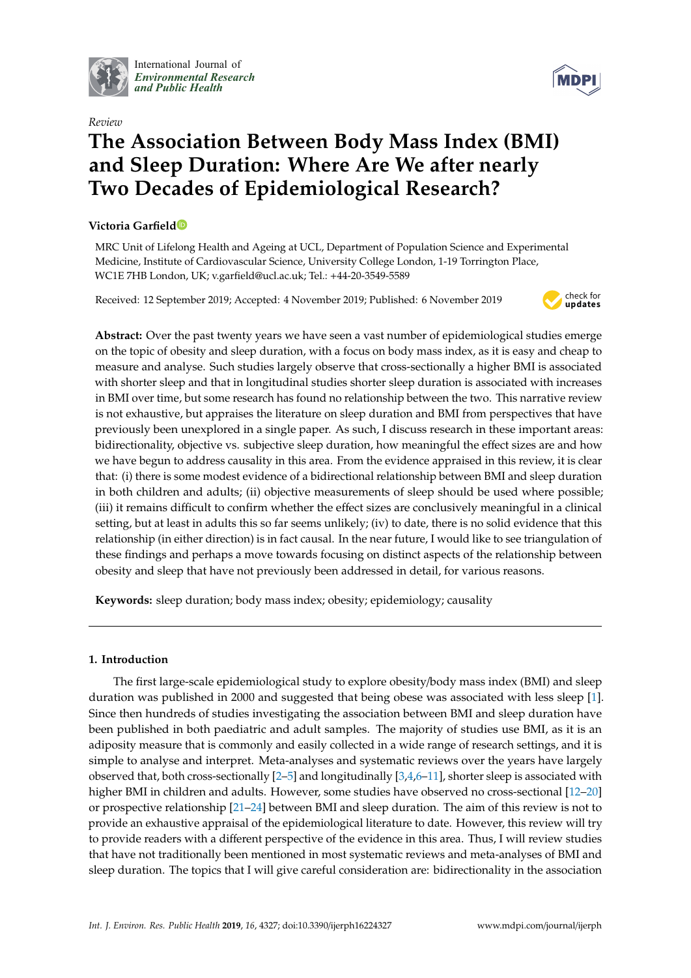

International Journal of *[Environmental Research](http://www.mdpi.com/journal/ijerph) and Public Health*



# *Review* **The Association Between Body Mass Index (BMI) and Sleep Duration: Where Are We after nearly Two Decades of Epidemiological Research?**

## **Victoria Garfiel[d](https://orcid.org/0000-0002-5127-0890)**

MRC Unit of Lifelong Health and Ageing at UCL, Department of Population Science and Experimental Medicine, Institute of Cardiovascular Science, University College London, 1-19 Torrington Place, WC1E 7HB London, UK; v.garfield@ucl.ac.uk; Tel.: +44-20-3549-5589

Received: 12 September 2019; Accepted: 4 November 2019; Published: 6 November 2019



**Abstract:** Over the past twenty years we have seen a vast number of epidemiological studies emerge on the topic of obesity and sleep duration, with a focus on body mass index, as it is easy and cheap to measure and analyse. Such studies largely observe that cross-sectionally a higher BMI is associated with shorter sleep and that in longitudinal studies shorter sleep duration is associated with increases in BMI over time, but some research has found no relationship between the two. This narrative review is not exhaustive, but appraises the literature on sleep duration and BMI from perspectives that have previously been unexplored in a single paper. As such, I discuss research in these important areas: bidirectionality, objective vs. subjective sleep duration, how meaningful the effect sizes are and how we have begun to address causality in this area. From the evidence appraised in this review, it is clear that: (i) there is some modest evidence of a bidirectional relationship between BMI and sleep duration in both children and adults; (ii) objective measurements of sleep should be used where possible; (iii) it remains difficult to confirm whether the effect sizes are conclusively meaningful in a clinical setting, but at least in adults this so far seems unlikely; (iv) to date, there is no solid evidence that this relationship (in either direction) is in fact causal. In the near future, I would like to see triangulation of these findings and perhaps a move towards focusing on distinct aspects of the relationship between obesity and sleep that have not previously been addressed in detail, for various reasons.

**Keywords:** sleep duration; body mass index; obesity; epidemiology; causality

### **1. Introduction**

The first large-scale epidemiological study to explore obesity/body mass index (BMI) and sleep duration was published in 2000 and suggested that being obese was associated with less sleep [\[1\]](#page-8-0). Since then hundreds of studies investigating the association between BMI and sleep duration have been published in both paediatric and adult samples. The majority of studies use BMI, as it is an adiposity measure that is commonly and easily collected in a wide range of research settings, and it is simple to analyse and interpret. Meta-analyses and systematic reviews over the years have largely observed that, both cross-sectionally  $[2-5]$  $[2-5]$  and longitudinally  $[3,4,6-11]$  $[3,4,6-11]$  $[3,4,6-11]$  $[3,4,6-11]$ , shorter sleep is associated with higher BMI in children and adults. However, some studies have observed no cross-sectional [\[12](#page-9-4)[–20\]](#page-9-5) or prospective relationship [\[21–](#page-9-6)[24\]](#page-9-7) between BMI and sleep duration. The aim of this review is not to provide an exhaustive appraisal of the epidemiological literature to date. However, this review will try to provide readers with a different perspective of the evidence in this area. Thus, I will review studies that have not traditionally been mentioned in most systematic reviews and meta-analyses of BMI and sleep duration. The topics that I will give careful consideration are: bidirectionality in the association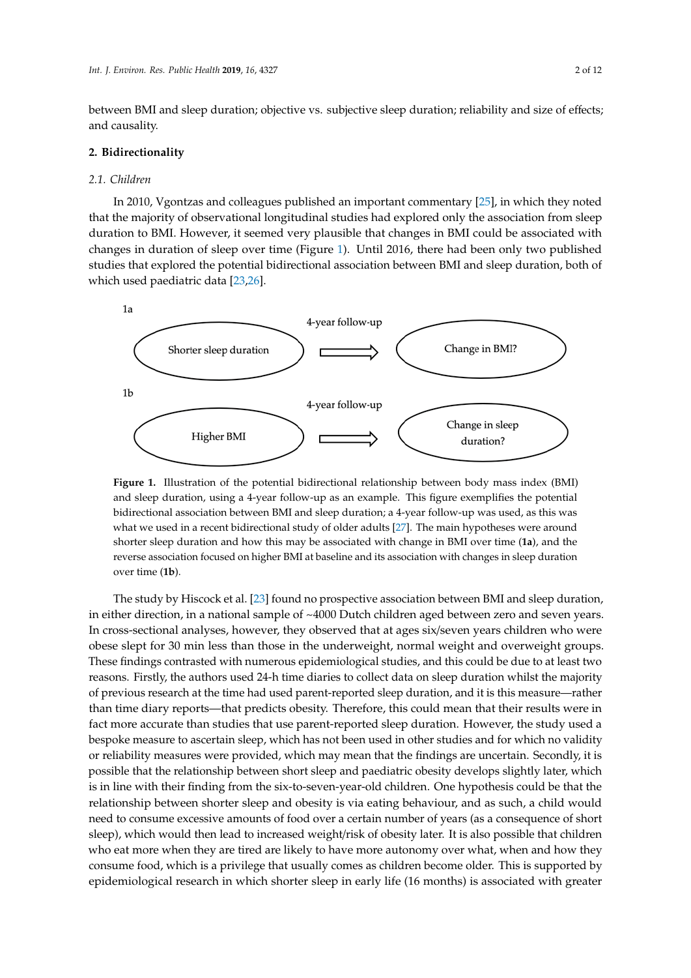between BMI and sleep duration; objective vs. subjective sleep duration; reliability and size of effects; and causality.

# **2. Bidirectionality 2. Bidirectionality**

#### *2.1. Children 2.1. Children*

In 2010, Vgontzas and colleagues published an important commentary [25], in which they noted In 2010, Vgontzas and colleagues published an important commentar[y \[25](#page-10-0)], in which they noted that the majority of observational longitudinal studies had explored only the association from sleep that the majority of observational longitudinal studies had explored only the association from sleep duration to BMI. However, it seemed very plausible that changes in BMI could be associated with duration to BMI. However, it seemed very plausible that changes in BMI could be associated with changes in duration of sleep over time (Figure 1). Until 2016, there had been only two published changes in duration of sleep over time (Figur[e](#page-1-0) 1). Until 2016, there had been only two published studies that explored the potential bidirectional association between BMI and sleep duration, both of studies that explored the potential bidirectional association between BMI and sleep duration, both of which used paediatric data [23,26]. which used paediatric dat[a \[2](#page-9-8)[3,26](#page-10-1)].

<span id="page-1-0"></span>

**Figure 1.** Illustration of the potential bidirectional relationship between body mass index (BMI) sleep duration, using a 4-year follow-up as an example. This figure exemplifies the potential and sleep duration, using a 4-year follow-up as an example. This figure exemplifies the potential bidirectional association between BMI and sleep duration; a 4-year follow-up was used, as this was bidirectional association between BMI and sleep duration; a 4-year follow-up was used, as this was what we used in a recent bidirectional study of older adults [27]. The main hypotheses were around what we used in a recent bidirectional study of older adults [\[27\]](#page-10-2). The main hypotheses were around shorter sleep duration and how this may be associated with change in BMI over time (**1a**), and the shorter sleep duration and how this may be associated with change in BMI over time (**1a**), and the reverse association focused on higher BMI at baseline and its association with changes in sleep duration<br>. over time (**1b**).

The study by Hiscock et al. [23] found no prospective association between BMI and sleep in either direction, in a national sample of ~4000 Dutch children aged between zero and seven years. In cross-sectional analyses, however, they observed that at ages six/seven years children who were sectional analyses, however, they observed that at ages shyered that a them were obese slept for 30 min less than those in the underweight, normal weight and overweight groups.<br>The unit of the unit of the underweight and the underweight and overweight groups. riese main.gs contrasted with numerous epidemiological studies, and this could be due to at feast the reasons. Firstly, the authors used 24-h time diaries to collect data on sleep duration whilst the majority reasons. Firstly, the durings used 24-h time diaries to collect data on sleep duration whilst the majority of previous research at the time had used parent-reported sleep duration, and it is this measure—rather the majority of previous research at the time had used parent-reported sleep duration, and it is this than time diary reports—that predicts obesity. Therefore, this could mean that their results were in measurement of the measurement of the predicts obesity. Therefore, this could mean that their reports were in fact more accurate than studies that use parent-reported sleep duration. However, the study used a<br>https://www.accurate.org/watch?https://www.accuration.org/watch?https://www.accuration.org/watch?https://www.a study used a bespoke measure to ascertain sleep, which has not been used in other studies and for which has not or reliability measures were provided, which may mean that the findings are uncertain. Secondly, it is is in the finding are uncertain. Secondly, it is is in line with their finding from the six-to-seven-year-old children. One hypothesis could be that the relationship between shorter sleep and obesity is via eating behaviour, and as such, a child would relationship need to consume excessive amounts of food over a certain number of years (as a consequence of short sleep), which would then lead to increased weight/risk of obesity later. It is also possible that children who eat more when they are tired are likely to have more autonomy over what, when and how they who eat more when they are tired are likely to have more autonomy over what, when and how they obesity of the more when they are there are likely to have more autonomy over what, when the now they consume food, which is a privilege that usually comes as children become older. This is supported by  $\alpha$ utonomy over what, when  $\alpha$  is a privilege that abound forces as entanced to come other that usually comes as epidemiological research in which shorter sleep in early life (16 months) is associated with greater The study by Hiscock et al. [\[23\]](#page-9-8) found no prospective association between BMI and sleep duration, These findings contrasted with numerous epidemiological studies, and this could be due to at least two bespoke measure to ascertain sleep, which has not been used in other studies and for which no validity possible that the relationship between short sleep and paediatric obesity develops slightly later, which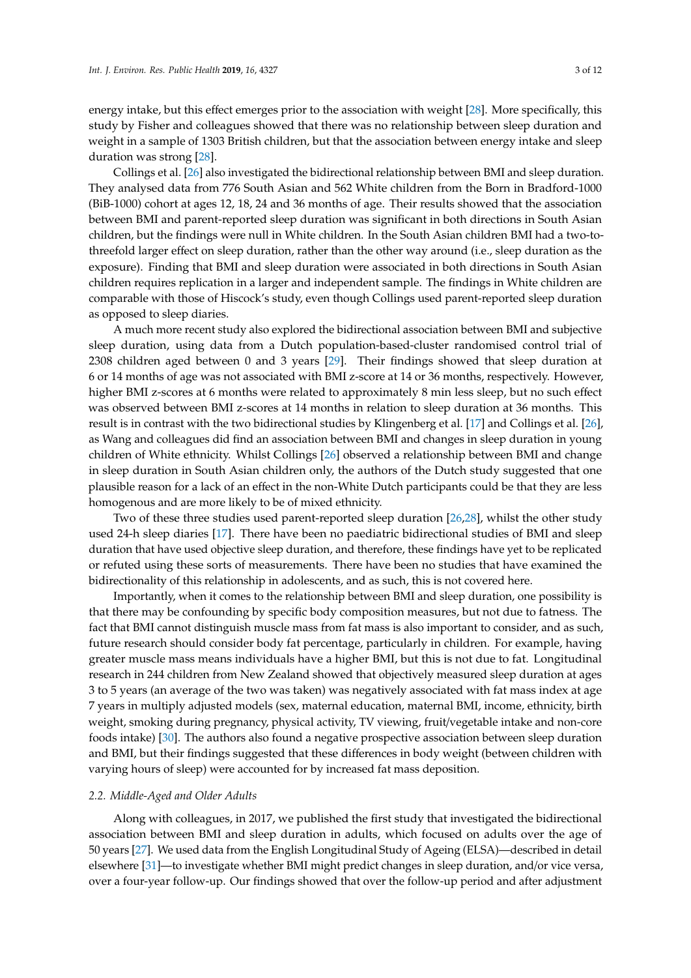energy intake, but this effect emerges prior to the association with weight [\[28\]](#page-10-3). More specifically, this study by Fisher and colleagues showed that there was no relationship between sleep duration and weight in a sample of 1303 British children, but that the association between energy intake and sleep duration was strong [\[28\]](#page-10-3).

Collings et al. [\[26\]](#page-10-1) also investigated the bidirectional relationship between BMI and sleep duration. They analysed data from 776 South Asian and 562 White children from the Born in Bradford-1000 (BiB-1000) cohort at ages 12, 18, 24 and 36 months of age. Their results showed that the association between BMI and parent-reported sleep duration was significant in both directions in South Asian children, but the findings were null in White children. In the South Asian children BMI had a two-tothreefold larger effect on sleep duration, rather than the other way around (i.e., sleep duration as the exposure). Finding that BMI and sleep duration were associated in both directions in South Asian children requires replication in a larger and independent sample. The findings in White children are comparable with those of Hiscock's study, even though Collings used parent-reported sleep duration as opposed to sleep diaries.

A much more recent study also explored the bidirectional association between BMI and subjective sleep duration, using data from a Dutch population-based-cluster randomised control trial of 2308 children aged between 0 and 3 years [\[29\]](#page-10-4). Their findings showed that sleep duration at 6 or 14 months of age was not associated with BMI z-score at 14 or 36 months, respectively. However, higher BMI z-scores at 6 months were related to approximately 8 min less sleep, but no such effect was observed between BMI z-scores at 14 months in relation to sleep duration at 36 months. This result is in contrast with the two bidirectional studies by Klingenberg et al. [\[17\]](#page-9-9) and Collings et al. [\[26\]](#page-10-1), as Wang and colleagues did find an association between BMI and changes in sleep duration in young children of White ethnicity. Whilst Collings [\[26\]](#page-10-1) observed a relationship between BMI and change in sleep duration in South Asian children only, the authors of the Dutch study suggested that one plausible reason for a lack of an effect in the non-White Dutch participants could be that they are less homogenous and are more likely to be of mixed ethnicity.

Two of these three studies used parent-reported sleep duration [\[26,](#page-10-1)[28\]](#page-10-3), whilst the other study used 24-h sleep diaries [\[17\]](#page-9-9). There have been no paediatric bidirectional studies of BMI and sleep duration that have used objective sleep duration, and therefore, these findings have yet to be replicated or refuted using these sorts of measurements. There have been no studies that have examined the bidirectionality of this relationship in adolescents, and as such, this is not covered here.

Importantly, when it comes to the relationship between BMI and sleep duration, one possibility is that there may be confounding by specific body composition measures, but not due to fatness. The fact that BMI cannot distinguish muscle mass from fat mass is also important to consider, and as such, future research should consider body fat percentage, particularly in children. For example, having greater muscle mass means individuals have a higher BMI, but this is not due to fat. Longitudinal research in 244 children from New Zealand showed that objectively measured sleep duration at ages 3 to 5 years (an average of the two was taken) was negatively associated with fat mass index at age 7 years in multiply adjusted models (sex, maternal education, maternal BMI, income, ethnicity, birth weight, smoking during pregnancy, physical activity, TV viewing, fruit/vegetable intake and non-core foods intake) [\[30\]](#page-10-5). The authors also found a negative prospective association between sleep duration and BMI, but their findings suggested that these differences in body weight (between children with varying hours of sleep) were accounted for by increased fat mass deposition.

#### *2.2. Middle-Aged and Older Adults*

Along with colleagues, in 2017, we published the first study that investigated the bidirectional association between BMI and sleep duration in adults, which focused on adults over the age of 50 years [\[27\]](#page-10-2). We used data from the English Longitudinal Study of Ageing (ELSA)—described in detail elsewhere [\[31\]](#page-10-6)—to investigate whether BMI might predict changes in sleep duration, and/or vice versa, over a four-year follow-up. Our findings showed that over the follow-up period and after adjustment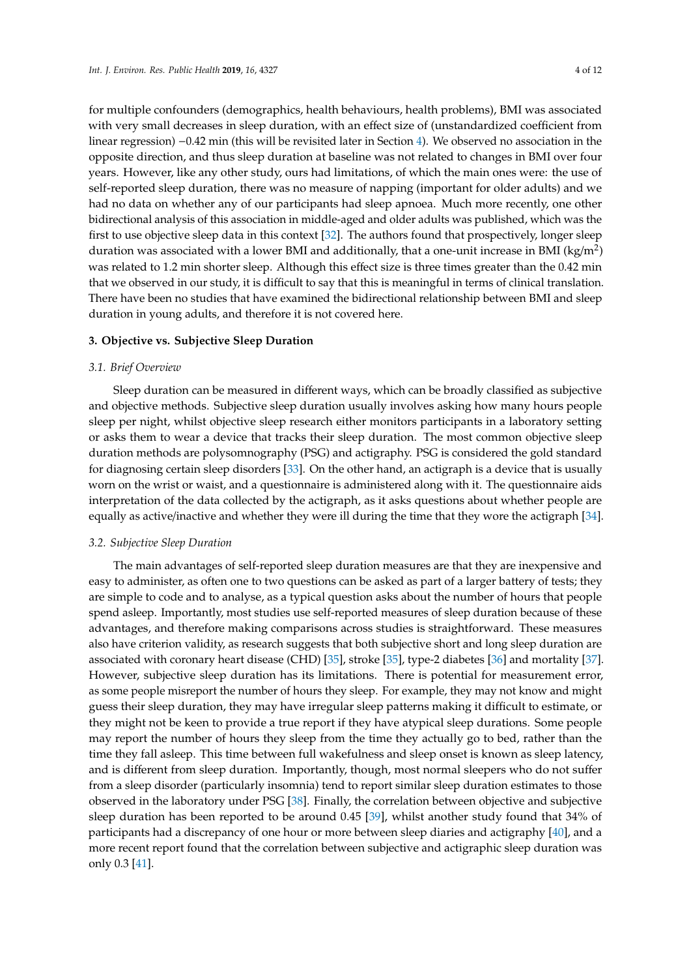for multiple confounders (demographics, health behaviours, health problems), BMI was associated with very small decreases in sleep duration, with an effect size of (unstandardized coefficient from linear regression) −0.42 min (this will be revisited later in Section [4\)](#page-5-0). We observed no association in the opposite direction, and thus sleep duration at baseline was not related to changes in BMI over four years. However, like any other study, ours had limitations, of which the main ones were: the use of self-reported sleep duration, there was no measure of napping (important for older adults) and we had no data on whether any of our participants had sleep apnoea. Much more recently, one other bidirectional analysis of this association in middle-aged and older adults was published, which was the first to use objective sleep data in this context [\[32\]](#page-10-7). The authors found that prospectively, longer sleep duration was associated with a lower BMI and additionally, that a one-unit increase in BMI (kg/m<sup>2</sup>)

was related to 1.2 min shorter sleep. Although this effect size is three times greater than the 0.42 min that we observed in our study, it is difficult to say that this is meaningful in terms of clinical translation. There have been no studies that have examined the bidirectional relationship between BMI and sleep duration in young adults, and therefore it is not covered here.

#### **3. Objective vs. Subjective Sleep Duration**

#### *3.1. Brief Overview*

Sleep duration can be measured in different ways, which can be broadly classified as subjective and objective methods. Subjective sleep duration usually involves asking how many hours people sleep per night, whilst objective sleep research either monitors participants in a laboratory setting or asks them to wear a device that tracks their sleep duration. The most common objective sleep duration methods are polysomnography (PSG) and actigraphy. PSG is considered the gold standard for diagnosing certain sleep disorders [\[33\]](#page-10-8). On the other hand, an actigraph is a device that is usually worn on the wrist or waist, and a questionnaire is administered along with it. The questionnaire aids interpretation of the data collected by the actigraph, as it asks questions about whether people are equally as active/inactive and whether they were ill during the time that they wore the actigraph [\[34\]](#page-10-9).

#### *3.2. Subjective Sleep Duration*

The main advantages of self-reported sleep duration measures are that they are inexpensive and easy to administer, as often one to two questions can be asked as part of a larger battery of tests; they are simple to code and to analyse, as a typical question asks about the number of hours that people spend asleep. Importantly, most studies use self-reported measures of sleep duration because of these advantages, and therefore making comparisons across studies is straightforward. These measures also have criterion validity, as research suggests that both subjective short and long sleep duration are associated with coronary heart disease (CHD) [\[35\]](#page-10-10), stroke [\[35\]](#page-10-10), type-2 diabetes [\[36\]](#page-10-11) and mortality [\[37\]](#page-10-12). However, subjective sleep duration has its limitations. There is potential for measurement error, as some people misreport the number of hours they sleep. For example, they may not know and might guess their sleep duration, they may have irregular sleep patterns making it difficult to estimate, or they might not be keen to provide a true report if they have atypical sleep durations. Some people may report the number of hours they sleep from the time they actually go to bed, rather than the time they fall asleep. This time between full wakefulness and sleep onset is known as sleep latency, and is different from sleep duration. Importantly, though, most normal sleepers who do not suffer from a sleep disorder (particularly insomnia) tend to report similar sleep duration estimates to those observed in the laboratory under PSG [\[38\]](#page-10-13). Finally, the correlation between objective and subjective sleep duration has been reported to be around 0.45 [\[39\]](#page-10-14), whilst another study found that 34% of participants had a discrepancy of one hour or more between sleep diaries and actigraphy [\[40\]](#page-10-15), and a more recent report found that the correlation between subjective and actigraphic sleep duration was only 0.3 [\[41\]](#page-10-16).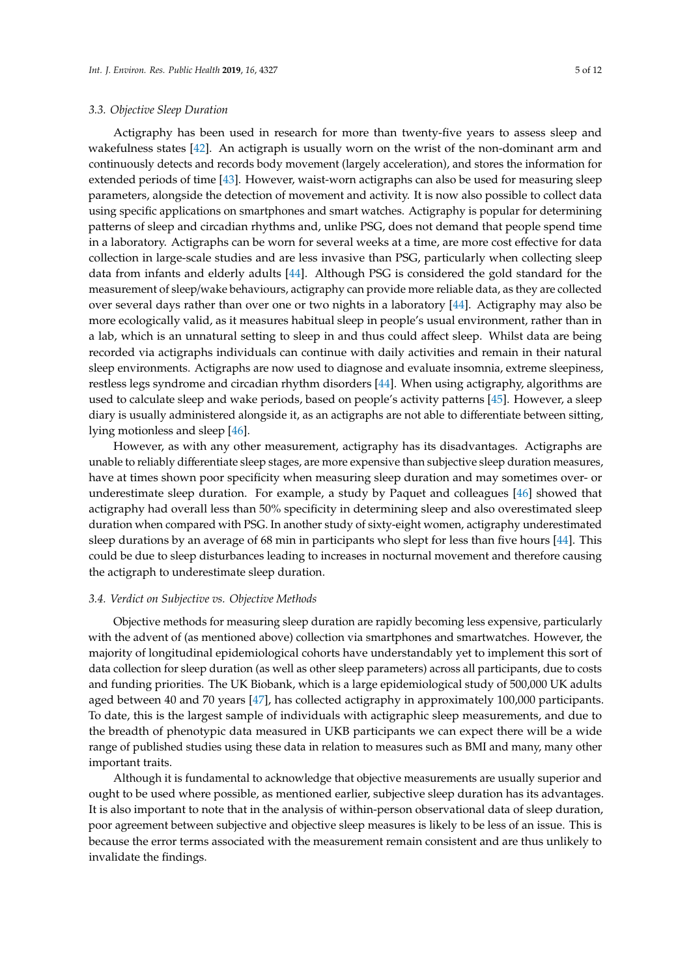Actigraphy has been used in research for more than twenty-five years to assess sleep and wakefulness states [\[42\]](#page-10-17). An actigraph is usually worn on the wrist of the non-dominant arm and continuously detects and records body movement (largely acceleration), and stores the information for extended periods of time [\[43\]](#page-10-18). However, waist-worn actigraphs can also be used for measuring sleep parameters, alongside the detection of movement and activity. It is now also possible to collect data using specific applications on smartphones and smart watches. Actigraphy is popular for determining patterns of sleep and circadian rhythms and, unlike PSG, does not demand that people spend time in a laboratory. Actigraphs can be worn for several weeks at a time, are more cost effective for data collection in large-scale studies and are less invasive than PSG, particularly when collecting sleep data from infants and elderly adults [\[44\]](#page-10-19). Although PSG is considered the gold standard for the measurement of sleep/wake behaviours, actigraphy can provide more reliable data, as they are collected over several days rather than over one or two nights in a laboratory [\[44\]](#page-10-19). Actigraphy may also be more ecologically valid, as it measures habitual sleep in people's usual environment, rather than in a lab, which is an unnatural setting to sleep in and thus could affect sleep. Whilst data are being recorded via actigraphs individuals can continue with daily activities and remain in their natural sleep environments. Actigraphs are now used to diagnose and evaluate insomnia, extreme sleepiness, restless legs syndrome and circadian rhythm disorders [\[44\]](#page-10-19). When using actigraphy, algorithms are used to calculate sleep and wake periods, based on people's activity patterns [\[45\]](#page-10-20). However, a sleep diary is usually administered alongside it, as an actigraphs are not able to differentiate between sitting, lying motionless and sleep [\[46\]](#page-10-21).

However, as with any other measurement, actigraphy has its disadvantages. Actigraphs are unable to reliably differentiate sleep stages, are more expensive than subjective sleep duration measures, have at times shown poor specificity when measuring sleep duration and may sometimes over- or underestimate sleep duration. For example, a study by Paquet and colleagues [\[46\]](#page-10-21) showed that actigraphy had overall less than 50% specificity in determining sleep and also overestimated sleep duration when compared with PSG. In another study of sixty-eight women, actigraphy underestimated sleep durations by an average of 68 min in participants who slept for less than five hours [\[44\]](#page-10-19). This could be due to sleep disturbances leading to increases in nocturnal movement and therefore causing the actigraph to underestimate sleep duration.

#### *3.4. Verdict on Subjective vs. Objective Methods*

Objective methods for measuring sleep duration are rapidly becoming less expensive, particularly with the advent of (as mentioned above) collection via smartphones and smartwatches. However, the majority of longitudinal epidemiological cohorts have understandably yet to implement this sort of data collection for sleep duration (as well as other sleep parameters) across all participants, due to costs and funding priorities. The UK Biobank, which is a large epidemiological study of 500,000 UK adults aged between 40 and 70 years [\[47\]](#page-11-0), has collected actigraphy in approximately 100,000 participants. To date, this is the largest sample of individuals with actigraphic sleep measurements, and due to the breadth of phenotypic data measured in UKB participants we can expect there will be a wide range of published studies using these data in relation to measures such as BMI and many, many other important traits.

Although it is fundamental to acknowledge that objective measurements are usually superior and ought to be used where possible, as mentioned earlier, subjective sleep duration has its advantages. It is also important to note that in the analysis of within-person observational data of sleep duration, poor agreement between subjective and objective sleep measures is likely to be less of an issue. This is because the error terms associated with the measurement remain consistent and are thus unlikely to invalidate the findings.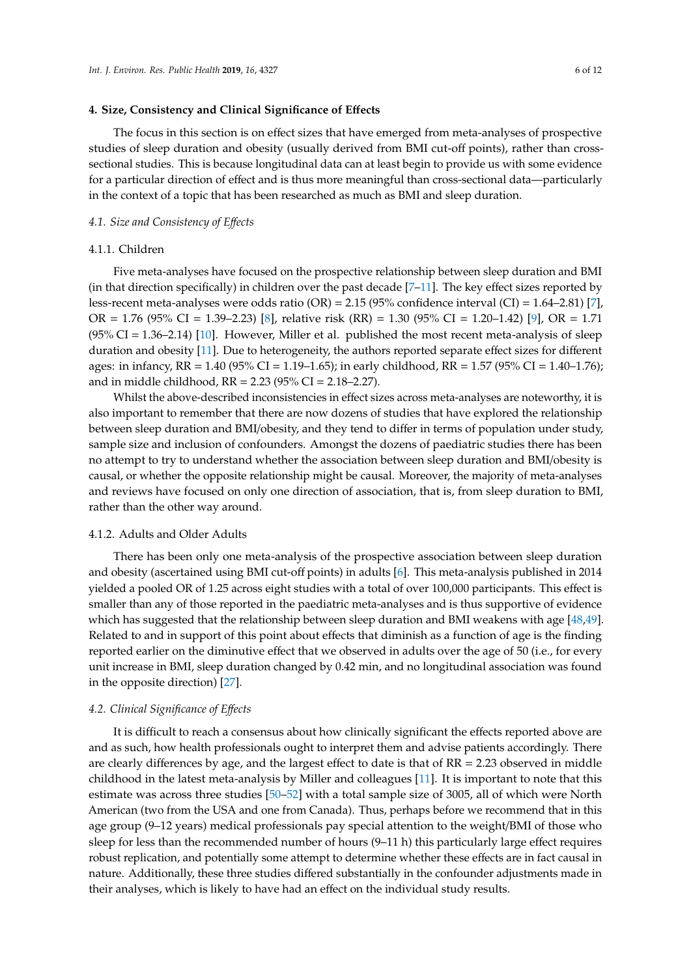#### <span id="page-5-0"></span>**4. Size, Consistency and Clinical Significance of E**ff**ects**

The focus in this section is on effect sizes that have emerged from meta-analyses of prospective studies of sleep duration and obesity (usually derived from BMI cut-off points), rather than crosssectional studies. This is because longitudinal data can at least begin to provide us with some evidence for a particular direction of effect and is thus more meaningful than cross-sectional data—particularly in the context of a topic that has been researched as much as BMI and sleep duration.

#### *4.1. Size and Consistency of E*ff*ects*

#### 4.1.1. Children

Five meta-analyses have focused on the prospective relationship between sleep duration and BMI (in that direction specifically) in children over the past decade  $[7-11]$  $[7-11]$ . The key effect sizes reported by less-recent meta-analyses were odds ratio (OR) = 2.15 (95% confidence interval (CI) = 1.64–2.81) [\[7\]](#page-9-10), OR = 1.76 (95% CI = 1.39–2.23) [\[8\]](#page-9-11), relative risk (RR) = 1.30 (95% CI = 1.20–1.42) [\[9\]](#page-9-12), OR = 1.71 (95% CI = 1.36–2.14) [\[10\]](#page-9-13). However, Miller et al. published the most recent meta-analysis of sleep duration and obesity [\[11\]](#page-9-3). Due to heterogeneity, the authors reported separate effect sizes for different ages: in infancy, RR = 1.40 (95% CI = 1.19–1.65); in early childhood, RR = 1.57 (95% CI = 1.40–1.76); and in middle childhood,  $RR = 2.23$  (95% CI = 2.18–2.27).

Whilst the above-described inconsistencies in effect sizes across meta-analyses are noteworthy, it is also important to remember that there are now dozens of studies that have explored the relationship between sleep duration and BMI/obesity, and they tend to differ in terms of population under study, sample size and inclusion of confounders. Amongst the dozens of paediatric studies there has been no attempt to try to understand whether the association between sleep duration and BMI/obesity is causal, or whether the opposite relationship might be causal. Moreover, the majority of meta-analyses and reviews have focused on only one direction of association, that is, from sleep duration to BMI, rather than the other way around.

#### 4.1.2. Adults and Older Adults

There has been only one meta-analysis of the prospective association between sleep duration and obesity (ascertained using BMI cut-off points) in adults [\[6\]](#page-9-2). This meta-analysis published in 2014 yielded a pooled OR of 1.25 across eight studies with a total of over 100,000 participants. This effect is smaller than any of those reported in the paediatric meta-analyses and is thus supportive of evidence which has suggested that the relationship between sleep duration and BMI weakens with age [\[48,](#page-11-1)[49\]](#page-11-2). Related to and in support of this point about effects that diminish as a function of age is the finding reported earlier on the diminutive effect that we observed in adults over the age of 50 (i.e., for every unit increase in BMI, sleep duration changed by 0.42 min, and no longitudinal association was found in the opposite direction) [\[27\]](#page-10-2).

#### *4.2. Clinical Significance of E*ff*ects*

It is difficult to reach a consensus about how clinically significant the effects reported above are and as such, how health professionals ought to interpret them and advise patients accordingly. There are clearly differences by age, and the largest effect to date is that of RR = 2.23 observed in middle childhood in the latest meta-analysis by Miller and colleagues [\[11\]](#page-9-3). It is important to note that this estimate was across three studies [\[50](#page-11-3)[–52\]](#page-11-4) with a total sample size of 3005, all of which were North American (two from the USA and one from Canada). Thus, perhaps before we recommend that in this age group (9–12 years) medical professionals pay special attention to the weight/BMI of those who sleep for less than the recommended number of hours (9–11 h) this particularly large effect requires robust replication, and potentially some attempt to determine whether these effects are in fact causal in nature. Additionally, these three studies differed substantially in the confounder adjustments made in their analyses, which is likely to have had an effect on the individual study results.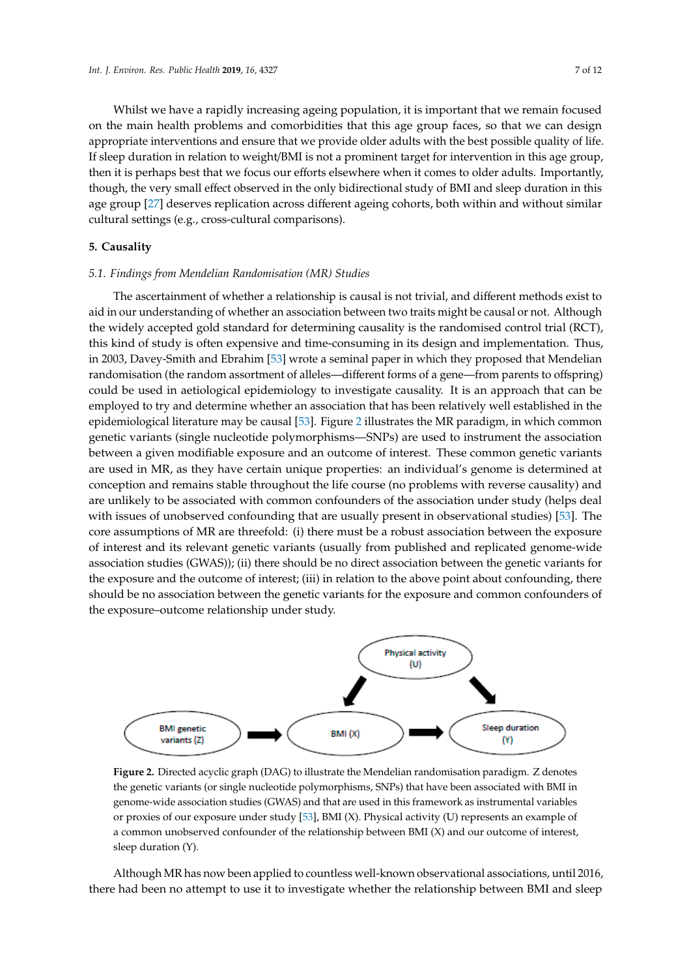Whilst we have a rapidly increasing ageing population, it is important that we remain focused on the main health problems and comorbidities that this age group faces, so that we can design appropriate interventions and ensure that we provide older adults with the best possible quality of life. If sleep duration in relation to weight/BMI is not a prominent target for intervention in this age group, then it is perhaps best that we focus our efforts elsewhere when it comes to older adults. Importantly, though, the very small effect observed in the only bidirectional study of BMI and sleep duration in this<br>with similar comparisons (e.g., cross-cultural comparisons). age group [\[27\]](#page-10-2) deserves replication across different ageing cohorts, both within and without similar cultural settings (e.g., cross-cultural comparisons). **5. Causality** 

#### **5. Causality** *5.1. Findings from Mendelian Randomisation (MR) Studies*

# 5.1. Findings from Mendelian Randomisation (MR) Studies

The ascertainment of whether a relationship is causal is not trivial, and different methods exist to aid in our understanding of whether an association between two traits might be causal or not. Although the widely accepted gold standard for determining causality is the randomised control trial (RCT), this kind of study is often expensive and time-consuming in its design and implementation. Thus, in 2003, Davey-Smith and Ebrahim [\[53\]](#page-11-5) wrote a seminal paper in which they proposed that Mendelian randomisation (the random assortment of alleles—different forms of a gene—from parents to offspring) could be used in aetiological epidemiology to investigate causality. It is an approach that can be employed to try and determine whether an association that has been relatively well established in the epidemiological literature may be causal [\[53\]](#page-11-5). Figure 2 illustrates the MR paradigm, in which common genetic variants (single nucleotide polymorphisms-SNPs) are used to instrument the association between a given modifiable exposure and an outcome of interest. These common genetic variants are used in MR, as they have certain unique properties: an individual's genome is determined at conception and remains stable throughout the life course (no problems with reverse causality) and are unlikely to be associated with common confounders of the association under study (helps deal with issues of unobserved confounding that are usually present in observational studies) [\[53\]](#page-11-5). The core assumptions of MR are threefold: (i) there must be a robust association between the exposure of interest and its relevant genetic variants (usually from published and replicated genome-wide association studies (GWAS)); (ii) there should be no direct association between the genetic variants for the exposure and the outcome of interest; (iii) in relation to the above point about confounding, there should be no association between the genetic variants for the exposure and common confounders of the exposure–outcome relationship under study.

<span id="page-6-0"></span>

the genetic variants (or single nucleotide polymorphisms, SNPs) that have been associated with BMI in genome-wide association studies (GWAS) and that are used in this framework as instrumental variables or proxies of our exposure under study [\[53\]](#page-11-5), BMI (X). Physical activity (U) represents an example of a common unobserved confounder of the relationship between BMI  $(X)$  and our outcome of interest,  $r_{\text{r}}$  and a common (x). **Figure 2.** Directed acyclic graph (DAG) to illustrate the Mendelian randomisation paradigm. Z denotes sleep duration (Y).

Although MR has now been applied to countless well-known observational associations, until 2016, there had been no attempt to use it to investigate whether the relationship between BMI and sleep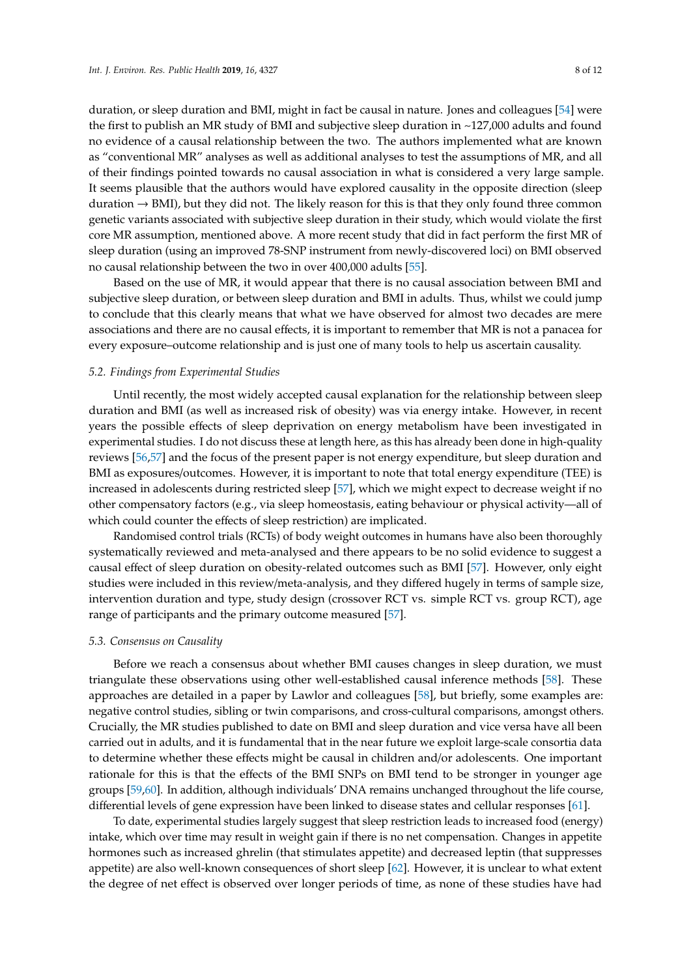duration, or sleep duration and BMI, might in fact be causal in nature. Jones and colleagues [\[54\]](#page-11-6) were the first to publish an MR study of BMI and subjective sleep duration in ~127,000 adults and found no evidence of a causal relationship between the two. The authors implemented what are known as "conventional MR" analyses as well as additional analyses to test the assumptions of MR, and all of their findings pointed towards no causal association in what is considered a very large sample. It seems plausible that the authors would have explored causality in the opposite direction (sleep duration  $\rightarrow$  BMI), but they did not. The likely reason for this is that they only found three common genetic variants associated with subjective sleep duration in their study, which would violate the first core MR assumption, mentioned above. A more recent study that did in fact perform the first MR of sleep duration (using an improved 78-SNP instrument from newly-discovered loci) on BMI observed no causal relationship between the two in over 400,000 adults [\[55\]](#page-11-7).

Based on the use of MR, it would appear that there is no causal association between BMI and subjective sleep duration, or between sleep duration and BMI in adults. Thus, whilst we could jump to conclude that this clearly means that what we have observed for almost two decades are mere associations and there are no causal effects, it is important to remember that MR is not a panacea for every exposure–outcome relationship and is just one of many tools to help us ascertain causality.

#### *5.2. Findings from Experimental Studies*

Until recently, the most widely accepted causal explanation for the relationship between sleep duration and BMI (as well as increased risk of obesity) was via energy intake. However, in recent years the possible effects of sleep deprivation on energy metabolism have been investigated in experimental studies. I do not discuss these at length here, as this has already been done in high-quality reviews [\[56,](#page-11-8)[57\]](#page-11-9) and the focus of the present paper is not energy expenditure, but sleep duration and BMI as exposures/outcomes. However, it is important to note that total energy expenditure (TEE) is increased in adolescents during restricted sleep [\[57\]](#page-11-9), which we might expect to decrease weight if no other compensatory factors (e.g., via sleep homeostasis, eating behaviour or physical activity—all of which could counter the effects of sleep restriction) are implicated.

Randomised control trials (RCTs) of body weight outcomes in humans have also been thoroughly systematically reviewed and meta-analysed and there appears to be no solid evidence to suggest a causal effect of sleep duration on obesity-related outcomes such as BMI [\[57\]](#page-11-9). However, only eight studies were included in this review/meta-analysis, and they differed hugely in terms of sample size, intervention duration and type, study design (crossover RCT vs. simple RCT vs. group RCT), age range of participants and the primary outcome measured [\[57\]](#page-11-9).

#### *5.3. Consensus on Causality*

Before we reach a consensus about whether BMI causes changes in sleep duration, we must triangulate these observations using other well-established causal inference methods [\[58\]](#page-11-10). These approaches are detailed in a paper by Lawlor and colleagues [\[58\]](#page-11-10), but briefly, some examples are: negative control studies, sibling or twin comparisons, and cross-cultural comparisons, amongst others. Crucially, the MR studies published to date on BMI and sleep duration and vice versa have all been carried out in adults, and it is fundamental that in the near future we exploit large-scale consortia data to determine whether these effects might be causal in children and/or adolescents. One important rationale for this is that the effects of the BMI SNPs on BMI tend to be stronger in younger age groups [\[59](#page-11-11)[,60\]](#page-11-12). In addition, although individuals' DNA remains unchanged throughout the life course, differential levels of gene expression have been linked to disease states and cellular responses [\[61\]](#page-11-13).

To date, experimental studies largely suggest that sleep restriction leads to increased food (energy) intake, which over time may result in weight gain if there is no net compensation. Changes in appetite hormones such as increased ghrelin (that stimulates appetite) and decreased leptin (that suppresses appetite) are also well-known consequences of short sleep [\[62\]](#page-11-14). However, it is unclear to what extent the degree of net effect is observed over longer periods of time, as none of these studies have had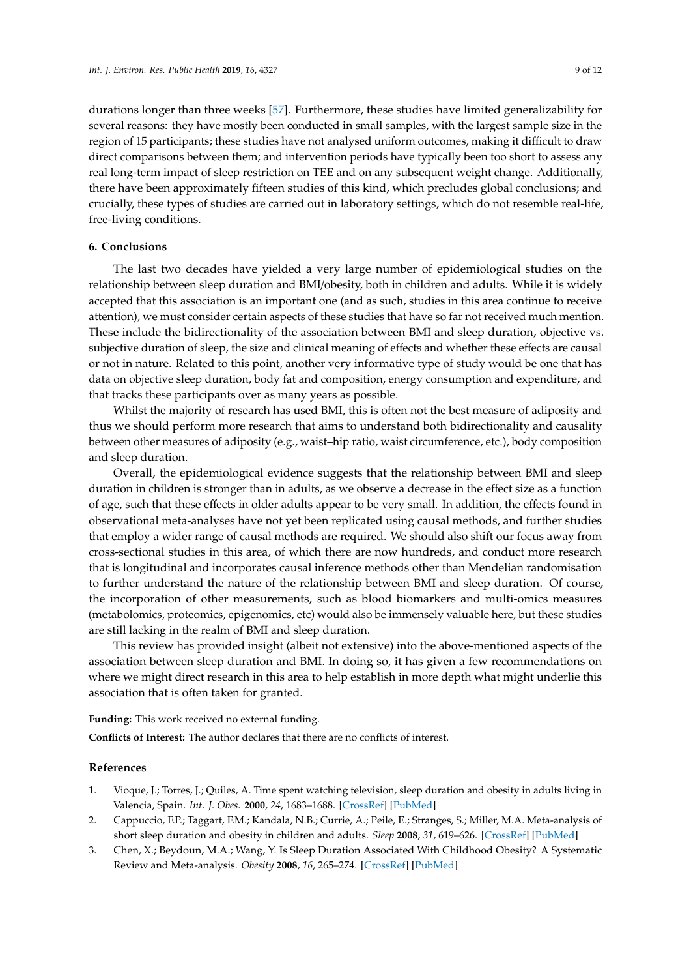durations longer than three weeks [\[57\]](#page-11-9). Furthermore, these studies have limited generalizability for several reasons: they have mostly been conducted in small samples, with the largest sample size in the region of 15 participants; these studies have not analysed uniform outcomes, making it difficult to draw direct comparisons between them; and intervention periods have typically been too short to assess any real long-term impact of sleep restriction on TEE and on any subsequent weight change. Additionally, there have been approximately fifteen studies of this kind, which precludes global conclusions; and crucially, these types of studies are carried out in laboratory settings, which do not resemble real-life, free-living conditions.

#### **6. Conclusions**

The last two decades have yielded a very large number of epidemiological studies on the relationship between sleep duration and BMI/obesity, both in children and adults. While it is widely accepted that this association is an important one (and as such, studies in this area continue to receive attention), we must consider certain aspects of these studies that have so far not received much mention. These include the bidirectionality of the association between BMI and sleep duration, objective vs. subjective duration of sleep, the size and clinical meaning of effects and whether these effects are causal or not in nature. Related to this point, another very informative type of study would be one that has data on objective sleep duration, body fat and composition, energy consumption and expenditure, and that tracks these participants over as many years as possible.

Whilst the majority of research has used BMI, this is often not the best measure of adiposity and thus we should perform more research that aims to understand both bidirectionality and causality between other measures of adiposity (e.g., waist–hip ratio, waist circumference, etc.), body composition and sleep duration.

Overall, the epidemiological evidence suggests that the relationship between BMI and sleep duration in children is stronger than in adults, as we observe a decrease in the effect size as a function of age, such that these effects in older adults appear to be very small. In addition, the effects found in observational meta-analyses have not yet been replicated using causal methods, and further studies that employ a wider range of causal methods are required. We should also shift our focus away from cross-sectional studies in this area, of which there are now hundreds, and conduct more research that is longitudinal and incorporates causal inference methods other than Mendelian randomisation to further understand the nature of the relationship between BMI and sleep duration. Of course, the incorporation of other measurements, such as blood biomarkers and multi-omics measures (metabolomics, proteomics, epigenomics, etc) would also be immensely valuable here, but these studies are still lacking in the realm of BMI and sleep duration.

This review has provided insight (albeit not extensive) into the above-mentioned aspects of the association between sleep duration and BMI. In doing so, it has given a few recommendations on where we might direct research in this area to help establish in more depth what might underlie this association that is often taken for granted.

**Funding:** This work received no external funding.

**Conflicts of Interest:** The author declares that there are no conflicts of interest.

#### **References**

- <span id="page-8-0"></span>1. Vioque, J.; Torres, J.; Quiles, A. Time spent watching television, sleep duration and obesity in adults living in Valencia, Spain. *Int. J. Obes.* **2000**, *24*, 1683–1688. [\[CrossRef\]](http://dx.doi.org/10.1038/sj.ijo.0801434) [\[PubMed\]](http://www.ncbi.nlm.nih.gov/pubmed/11126224)
- <span id="page-8-1"></span>2. Cappuccio, F.P.; Taggart, F.M.; Kandala, N.B.; Currie, A.; Peile, E.; Stranges, S.; Miller, M.A. Meta-analysis of short sleep duration and obesity in children and adults. *Sleep* **2008**, *31*, 619–626. [\[CrossRef\]](http://dx.doi.org/10.1093/sleep/31.5.619) [\[PubMed\]](http://www.ncbi.nlm.nih.gov/pubmed/18517032)
- <span id="page-8-2"></span>3. Chen, X.; Beydoun, M.A.; Wang, Y. Is Sleep Duration Associated With Childhood Obesity? A Systematic Review and Meta-analysis. *Obesity* **2008**, *16*, 265–274. [\[CrossRef\]](http://dx.doi.org/10.1038/oby.2007.63) [\[PubMed\]](http://www.ncbi.nlm.nih.gov/pubmed/18239632)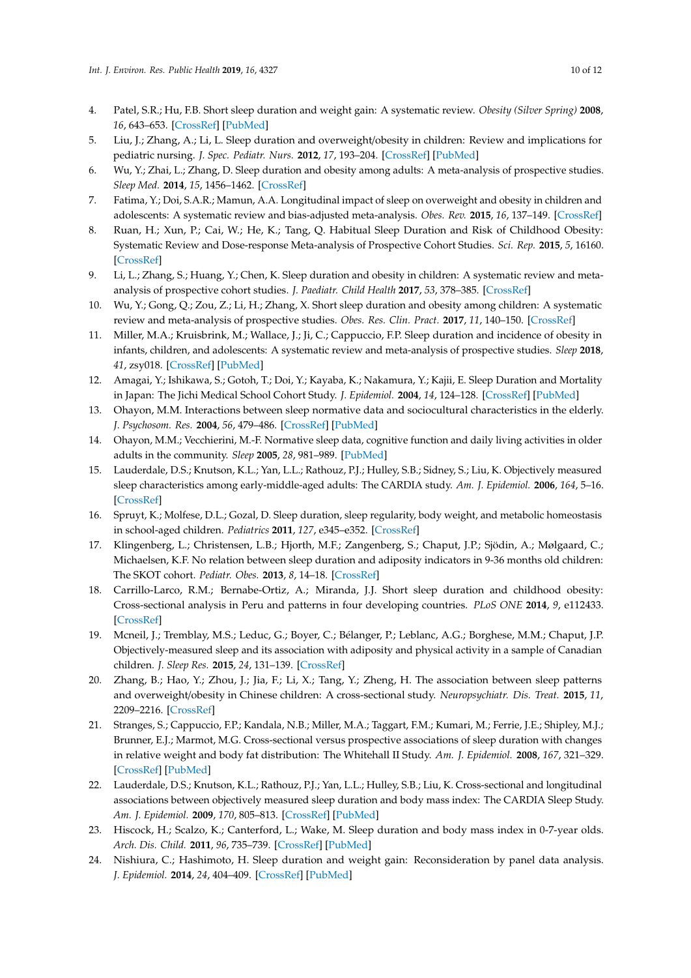- <span id="page-9-1"></span>4. Patel, S.R.; Hu, F.B. Short sleep duration and weight gain: A systematic review. *Obesity (Silver Spring)* **2008**, *16*, 643–653. [\[CrossRef\]](http://dx.doi.org/10.1038/oby.2007.118) [\[PubMed\]](http://www.ncbi.nlm.nih.gov/pubmed/18239586)
- <span id="page-9-0"></span>5. Liu, J.; Zhang, A.; Li, L. Sleep duration and overweight/obesity in children: Review and implications for pediatric nursing. *J. Spec. Pediatr. Nurs.* **2012**, *17*, 193–204. [\[CrossRef\]](http://dx.doi.org/10.1111/j.1744-6155.2012.00332.x) [\[PubMed\]](http://www.ncbi.nlm.nih.gov/pubmed/22734873)
- <span id="page-9-2"></span>6. Wu, Y.; Zhai, L.; Zhang, D. Sleep duration and obesity among adults: A meta-analysis of prospective studies. *Sleep Med.* **2014**, *15*, 1456–1462. [\[CrossRef\]](http://dx.doi.org/10.1016/j.sleep.2014.07.018)
- <span id="page-9-10"></span>7. Fatima, Y.; Doi, S.A.R.; Mamun, A.A. Longitudinal impact of sleep on overweight and obesity in children and adolescents: A systematic review and bias-adjusted meta-analysis. *Obes. Rev.* **2015**, *16*, 137–149. [\[CrossRef\]](http://dx.doi.org/10.1111/obr.12245)
- <span id="page-9-11"></span>8. Ruan, H.; Xun, P.; Cai, W.; He, K.; Tang, Q. Habitual Sleep Duration and Risk of Childhood Obesity: Systematic Review and Dose-response Meta-analysis of Prospective Cohort Studies. *Sci. Rep.* **2015**, *5*, 16160. [\[CrossRef\]](http://dx.doi.org/10.1038/srep16160)
- <span id="page-9-12"></span>9. Li, L.; Zhang, S.; Huang, Y.; Chen, K. Sleep duration and obesity in children: A systematic review and metaanalysis of prospective cohort studies. *J. Paediatr. Child Health* **2017**, *53*, 378–385. [\[CrossRef\]](http://dx.doi.org/10.1111/jpc.13434)
- <span id="page-9-13"></span>10. Wu, Y.; Gong, Q.; Zou, Z.; Li, H.; Zhang, X. Short sleep duration and obesity among children: A systematic review and meta-analysis of prospective studies. *Obes. Res. Clin. Pract.* **2017**, *11*, 140–150. [\[CrossRef\]](http://dx.doi.org/10.1016/j.orcp.2016.05.005)
- <span id="page-9-3"></span>11. Miller, M.A.; Kruisbrink, M.; Wallace, J.; Ji, C.; Cappuccio, F.P. Sleep duration and incidence of obesity in infants, children, and adolescents: A systematic review and meta-analysis of prospective studies. *Sleep* **2018**, *41*, zsy018. [\[CrossRef\]](http://dx.doi.org/10.1093/sleep/zsy018) [\[PubMed\]](http://www.ncbi.nlm.nih.gov/pubmed/29401314)
- <span id="page-9-4"></span>12. Amagai, Y.; Ishikawa, S.; Gotoh, T.; Doi, Y.; Kayaba, K.; Nakamura, Y.; Kajii, E. Sleep Duration and Mortality in Japan: The Jichi Medical School Cohort Study. *J. Epidemiol.* **2004**, *14*, 124–128. [\[CrossRef\]](http://dx.doi.org/10.2188/jea.14.124) [\[PubMed\]](http://www.ncbi.nlm.nih.gov/pubmed/15369129)
- 13. Ohayon, M.M. Interactions between sleep normative data and sociocultural characteristics in the elderly. *J. Psychosom. Res.* **2004**, *56*, 479–486. [\[CrossRef\]](http://dx.doi.org/10.1016/j.psychores.2004.04.365) [\[PubMed\]](http://www.ncbi.nlm.nih.gov/pubmed/15172203)
- 14. Ohayon, M.M.; Vecchierini, M.-F. Normative sleep data, cognitive function and daily living activities in older adults in the community. *Sleep* **2005**, *28*, 981–989. [\[PubMed\]](http://www.ncbi.nlm.nih.gov/pubmed/16218081)
- 15. Lauderdale, D.S.; Knutson, K.L.; Yan, L.L.; Rathouz, P.J.; Hulley, S.B.; Sidney, S.; Liu, K. Objectively measured sleep characteristics among early-middle-aged adults: The CARDIA study. *Am. J. Epidemiol.* **2006**, *164*, 5–16. [\[CrossRef\]](http://dx.doi.org/10.1093/aje/kwj199)
- 16. Spruyt, K.; Molfese, D.L.; Gozal, D. Sleep duration, sleep regularity, body weight, and metabolic homeostasis in school-aged children. *Pediatrics* **2011**, *127*, e345–e352. [\[CrossRef\]](http://dx.doi.org/10.1542/peds.2010-0497)
- <span id="page-9-9"></span>17. Klingenberg, L.; Christensen, L.B.; Hjorth, M.F.; Zangenberg, S.; Chaput, J.P.; Sjödin, A.; Mølgaard, C.; Michaelsen, K.F. No relation between sleep duration and adiposity indicators in 9-36 months old children: The SKOT cohort. *Pediatr. Obes.* **2013**, *8*, 14–18. [\[CrossRef\]](http://dx.doi.org/10.1111/j.2047-6310.2012.00109.x)
- 18. Carrillo-Larco, R.M.; Bernabe-Ortiz, A.; Miranda, J.J. Short sleep duration and childhood obesity: Cross-sectional analysis in Peru and patterns in four developing countries. *PLoS ONE* **2014**, *9*, e112433. [\[CrossRef\]](http://dx.doi.org/10.1371/journal.pone.0112433)
- 19. Mcneil, J.; Tremblay, M.S.; Leduc, G.; Boyer, C.; Bélanger, P.; Leblanc, A.G.; Borghese, M.M.; Chaput, J.P. Objectively-measured sleep and its association with adiposity and physical activity in a sample of Canadian children. *J. Sleep Res.* **2015**, *24*, 131–139. [\[CrossRef\]](http://dx.doi.org/10.1111/jsr.12241)
- <span id="page-9-5"></span>20. Zhang, B.; Hao, Y.; Zhou, J.; Jia, F.; Li, X.; Tang, Y.; Zheng, H. The association between sleep patterns and overweight/obesity in Chinese children: A cross-sectional study. *Neuropsychiatr. Dis. Treat.* **2015**, *11*, 2209–2216. [\[CrossRef\]](http://dx.doi.org/10.2147/NDT.S90838)
- <span id="page-9-6"></span>21. Stranges, S.; Cappuccio, F.P.; Kandala, N.B.; Miller, M.A.; Taggart, F.M.; Kumari, M.; Ferrie, J.E.; Shipley, M.J.; Brunner, E.J.; Marmot, M.G. Cross-sectional versus prospective associations of sleep duration with changes in relative weight and body fat distribution: The Whitehall II Study. *Am. J. Epidemiol.* **2008**, *167*, 321–329. [\[CrossRef\]](http://dx.doi.org/10.1093/aje/kwm302) [\[PubMed\]](http://www.ncbi.nlm.nih.gov/pubmed/18006903)
- 22. Lauderdale, D.S.; Knutson, K.L.; Rathouz, P.J.; Yan, L.L.; Hulley, S.B.; Liu, K. Cross-sectional and longitudinal associations between objectively measured sleep duration and body mass index: The CARDIA Sleep Study. *Am. J. Epidemiol.* **2009**, *170*, 805–813. [\[CrossRef\]](http://dx.doi.org/10.1093/aje/kwp230) [\[PubMed\]](http://www.ncbi.nlm.nih.gov/pubmed/19651664)
- <span id="page-9-8"></span>23. Hiscock, H.; Scalzo, K.; Canterford, L.; Wake, M. Sleep duration and body mass index in 0-7-year olds. *Arch. Dis. Child.* **2011**, *96*, 735–739. [\[CrossRef\]](http://dx.doi.org/10.1136/adc.2010.204925) [\[PubMed\]](http://www.ncbi.nlm.nih.gov/pubmed/21622998)
- <span id="page-9-7"></span>24. Nishiura, C.; Hashimoto, H. Sleep duration and weight gain: Reconsideration by panel data analysis. *J. Epidemiol.* **2014**, *24*, 404–409. [\[CrossRef\]](http://dx.doi.org/10.2188/jea.JE20140012) [\[PubMed\]](http://www.ncbi.nlm.nih.gov/pubmed/25088695)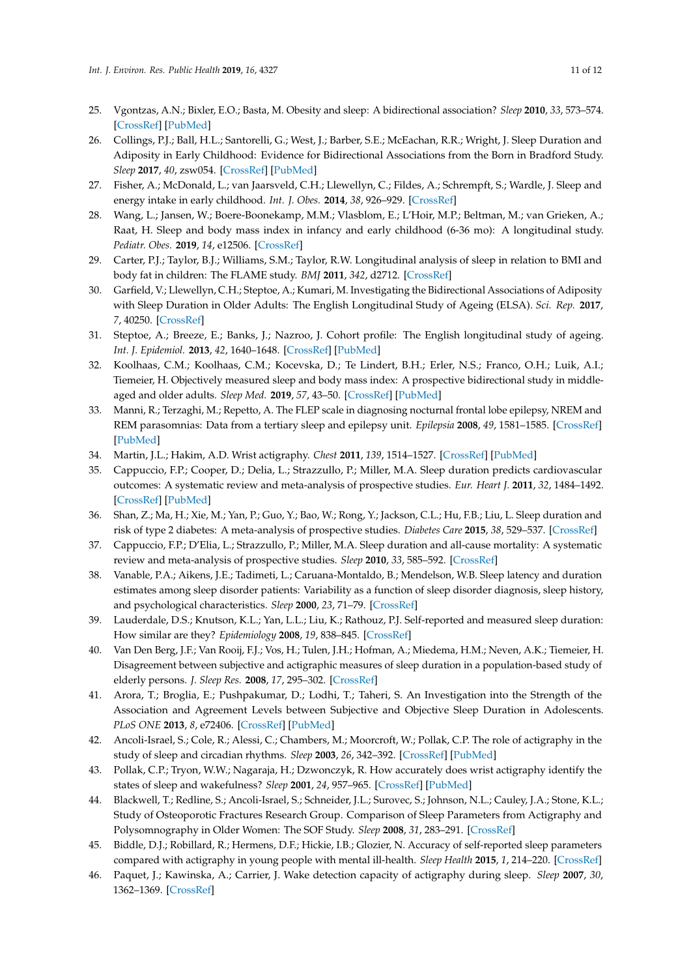- <span id="page-10-0"></span>25. Vgontzas, A.N.; Bixler, E.O.; Basta, M. Obesity and sleep: A bidirectional association? *Sleep* **2010**, *33*, 573–574. [\[CrossRef\]](http://dx.doi.org/10.1093/sleep/33.5.573) [\[PubMed\]](http://www.ncbi.nlm.nih.gov/pubmed/20469796)
- <span id="page-10-1"></span>26. Collings, P.J.; Ball, H.L.; Santorelli, G.; West, J.; Barber, S.E.; McEachan, R.R.; Wright, J. Sleep Duration and Adiposity in Early Childhood: Evidence for Bidirectional Associations from the Born in Bradford Study. *Sleep* **2017**, *40*, zsw054. [\[CrossRef\]](http://dx.doi.org/10.1093/sleep/zsw054) [\[PubMed\]](http://www.ncbi.nlm.nih.gov/pubmed/28364513)
- <span id="page-10-2"></span>27. Fisher, A.; McDonald, L.; van Jaarsveld, C.H.; Llewellyn, C.; Fildes, A.; Schrempft, S.; Wardle, J. Sleep and energy intake in early childhood. *Int. J. Obes.* **2014**, *38*, 926–929. [\[CrossRef\]](http://dx.doi.org/10.1038/ijo.2014.50)
- <span id="page-10-3"></span>28. Wang, L.; Jansen, W.; Boere-Boonekamp, M.M.; Vlasblom, E.; L'Hoir, M.P.; Beltman, M.; van Grieken, A.; Raat, H. Sleep and body mass index in infancy and early childhood (6-36 mo): A longitudinal study. *Pediatr. Obes.* **2019**, *14*, e12506. [\[CrossRef\]](http://dx.doi.org/10.1111/ijpo.12506)
- <span id="page-10-4"></span>29. Carter, P.J.; Taylor, B.J.; Williams, S.M.; Taylor, R.W. Longitudinal analysis of sleep in relation to BMI and body fat in children: The FLAME study. *BMJ* **2011**, *342*, d2712. [\[CrossRef\]](http://dx.doi.org/10.1136/bmj.d2712)
- <span id="page-10-5"></span>30. Garfield, V.; Llewellyn, C.H.; Steptoe, A.; Kumari, M. Investigating the Bidirectional Associations of Adiposity with Sleep Duration in Older Adults: The English Longitudinal Study of Ageing (ELSA). *Sci. Rep.* **2017**, *7*, 40250. [\[CrossRef\]](http://dx.doi.org/10.1038/srep40250)
- <span id="page-10-6"></span>31. Steptoe, A.; Breeze, E.; Banks, J.; Nazroo, J. Cohort profile: The English longitudinal study of ageing. *Int. J. Epidemiol.* **2013**, *42*, 1640–1648. [\[CrossRef\]](http://dx.doi.org/10.1093/ije/dys168) [\[PubMed\]](http://www.ncbi.nlm.nih.gov/pubmed/23143611)
- <span id="page-10-7"></span>32. Koolhaas, C.M.; Koolhaas, C.M.; Kocevska, D.; Te Lindert, B.H.; Erler, N.S.; Franco, O.H.; Luik, A.I.; Tiemeier, H. Objectively measured sleep and body mass index: A prospective bidirectional study in middleaged and older adults. *Sleep Med.* **2019**, *57*, 43–50. [\[CrossRef\]](http://dx.doi.org/10.1016/j.sleep.2019.01.034) [\[PubMed\]](http://www.ncbi.nlm.nih.gov/pubmed/30897455)
- <span id="page-10-8"></span>33. Manni, R.; Terzaghi, M.; Repetto, A. The FLEP scale in diagnosing nocturnal frontal lobe epilepsy, NREM and REM parasomnias: Data from a tertiary sleep and epilepsy unit. *Epilepsia* **2008**, *49*, 1581–1585. [\[CrossRef\]](http://dx.doi.org/10.1111/j.1528-1167.2008.01602.x) [\[PubMed\]](http://www.ncbi.nlm.nih.gov/pubmed/18410366)
- <span id="page-10-9"></span>34. Martin, J.L.; Hakim, A.D. Wrist actigraphy. *Chest* **2011**, *139*, 1514–1527. [\[CrossRef\]](http://dx.doi.org/10.1378/chest.10-1872) [\[PubMed\]](http://www.ncbi.nlm.nih.gov/pubmed/21652563)
- <span id="page-10-10"></span>35. Cappuccio, F.P.; Cooper, D.; Delia, L.; Strazzullo, P.; Miller, M.A. Sleep duration predicts cardiovascular outcomes: A systematic review and meta-analysis of prospective studies. *Eur. Heart J.* **2011**, *32*, 1484–1492. [\[CrossRef\]](http://dx.doi.org/10.1093/eurheartj/ehr007) [\[PubMed\]](http://www.ncbi.nlm.nih.gov/pubmed/21300732)
- <span id="page-10-11"></span>36. Shan, Z.; Ma, H.; Xie, M.; Yan, P.; Guo, Y.; Bao, W.; Rong, Y.; Jackson, C.L.; Hu, F.B.; Liu, L. Sleep duration and risk of type 2 diabetes: A meta-analysis of prospective studies. *Diabetes Care* **2015**, *38*, 529–537. [\[CrossRef\]](http://dx.doi.org/10.2337/dc14-2073)
- <span id="page-10-12"></span>37. Cappuccio, F.P.; D'Elia, L.; Strazzullo, P.; Miller, M.A. Sleep duration and all-cause mortality: A systematic review and meta-analysis of prospective studies. *Sleep* **2010**, *33*, 585–592. [\[CrossRef\]](http://dx.doi.org/10.1093/sleep/33.5.585)
- <span id="page-10-13"></span>38. Vanable, P.A.; Aikens, J.E.; Tadimeti, L.; Caruana-Montaldo, B.; Mendelson, W.B. Sleep latency and duration estimates among sleep disorder patients: Variability as a function of sleep disorder diagnosis, sleep history, and psychological characteristics. *Sleep* **2000**, *23*, 71–79. [\[CrossRef\]](http://dx.doi.org/10.1093/sleep/23.1.1d)
- <span id="page-10-14"></span>39. Lauderdale, D.S.; Knutson, K.L.; Yan, L.L.; Liu, K.; Rathouz, P.J. Self-reported and measured sleep duration: How similar are they? *Epidemiology* **2008**, *19*, 838–845. [\[CrossRef\]](http://dx.doi.org/10.1097/EDE.0b013e318187a7b0)
- <span id="page-10-15"></span>40. Van Den Berg, J.F.; Van Rooij, F.J.; Vos, H.; Tulen, J.H.; Hofman, A.; Miedema, H.M.; Neven, A.K.; Tiemeier, H. Disagreement between subjective and actigraphic measures of sleep duration in a population-based study of elderly persons. *J. Sleep Res.* **2008**, *17*, 295–302. [\[CrossRef\]](http://dx.doi.org/10.1111/j.1365-2869.2008.00638.x)
- <span id="page-10-16"></span>41. Arora, T.; Broglia, E.; Pushpakumar, D.; Lodhi, T.; Taheri, S. An Investigation into the Strength of the Association and Agreement Levels between Subjective and Objective Sleep Duration in Adolescents. *PLoS ONE* **2013**, *8*, e72406. [\[CrossRef\]](http://dx.doi.org/10.1371/journal.pone.0072406) [\[PubMed\]](http://www.ncbi.nlm.nih.gov/pubmed/23951321)
- <span id="page-10-17"></span>42. Ancoli-Israel, S.; Cole, R.; Alessi, C.; Chambers, M.; Moorcroft, W.; Pollak, C.P. The role of actigraphy in the study of sleep and circadian rhythms. *Sleep* **2003**, *26*, 342–392. [\[CrossRef\]](http://dx.doi.org/10.1093/sleep/26.3.342) [\[PubMed\]](http://www.ncbi.nlm.nih.gov/pubmed/12749557)
- <span id="page-10-18"></span>43. Pollak, C.P.; Tryon, W.W.; Nagaraja, H.; Dzwonczyk, R. How accurately does wrist actigraphy identify the states of sleep and wakefulness? *Sleep* **2001**, *24*, 957–965. [\[CrossRef\]](http://dx.doi.org/10.1093/sleep/24.8.957) [\[PubMed\]](http://www.ncbi.nlm.nih.gov/pubmed/11766166)
- <span id="page-10-19"></span>44. Blackwell, T.; Redline, S.; Ancoli-Israel, S.; Schneider, J.L.; Surovec, S.; Johnson, N.L.; Cauley, J.A.; Stone, K.L.; Study of Osteoporotic Fractures Research Group. Comparison of Sleep Parameters from Actigraphy and Polysomnography in Older Women: The SOF Study. *Sleep* **2008**, *31*, 283–291. [\[CrossRef\]](http://dx.doi.org/10.1093/sleep/31.2.283)
- <span id="page-10-20"></span>45. Biddle, D.J.; Robillard, R.; Hermens, D.F.; Hickie, I.B.; Glozier, N. Accuracy of self-reported sleep parameters compared with actigraphy in young people with mental ill-health. *Sleep Health* **2015**, *1*, 214–220. [\[CrossRef\]](http://dx.doi.org/10.1016/j.sleh.2015.07.006)
- <span id="page-10-21"></span>46. Paquet, J.; Kawinska, A.; Carrier, J. Wake detection capacity of actigraphy during sleep. *Sleep* **2007**, *30*, 1362–1369. [\[CrossRef\]](http://dx.doi.org/10.1093/sleep/30.10.1362)